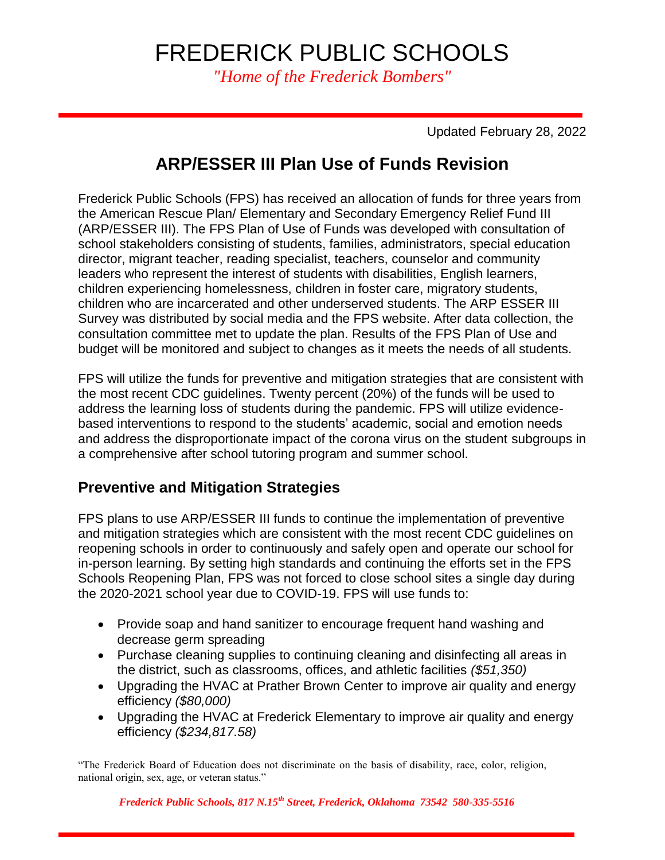*"Home of the Frederick Bombers"*

Updated February 28, 2022

### **ARP/ESSER III Plan Use of Funds Revision**

Frederick Public Schools (FPS) has received an allocation of funds for three years from the American Rescue Plan/ Elementary and Secondary Emergency Relief Fund III (ARP/ESSER III). The FPS Plan of Use of Funds was developed with consultation of school stakeholders consisting of students, families, administrators, special education director, migrant teacher, reading specialist, teachers, counselor and community leaders who represent the interest of students with disabilities, English learners, children experiencing homelessness, children in foster care, migratory students, children who are incarcerated and other underserved students. The ARP ESSER III Survey was distributed by social media and the FPS website. After data collection, the consultation committee met to update the plan. Results of the FPS Plan of Use and budget will be monitored and subject to changes as it meets the needs of all students.

FPS will utilize the funds for preventive and mitigation strategies that are consistent with the most recent CDC guidelines. Twenty percent (20%) of the funds will be used to address the learning loss of students during the pandemic. FPS will utilize evidencebased interventions to respond to the students' academic, social and emotion needs and address the disproportionate impact of the corona virus on the student subgroups in a comprehensive after school tutoring program and summer school.

### **Preventive and Mitigation Strategies**

FPS plans to use ARP/ESSER III funds to continue the implementation of preventive and mitigation strategies which are consistent with the most recent CDC guidelines on reopening schools in order to continuously and safely open and operate our school for in-person learning. By setting high standards and continuing the efforts set in the FPS Schools Reopening Plan, FPS was not forced to close school sites a single day during the 2020-2021 school year due to COVID-19. FPS will use funds to:

- Provide soap and hand sanitizer to encourage frequent hand washing and decrease germ spreading
- Purchase cleaning supplies to continuing cleaning and disinfecting all areas in the district, such as classrooms, offices, and athletic facilities *(\$51,350)*
- Upgrading the HVAC at Prather Brown Center to improve air quality and energy efficiency *(\$80,000)*
- Upgrading the HVAC at Frederick Elementary to improve air quality and energy efficiency *(\$234,817.58)*

"The Frederick Board of Education does not discriminate on the basis of disability, race, color, religion, national origin, sex, age, or veteran status."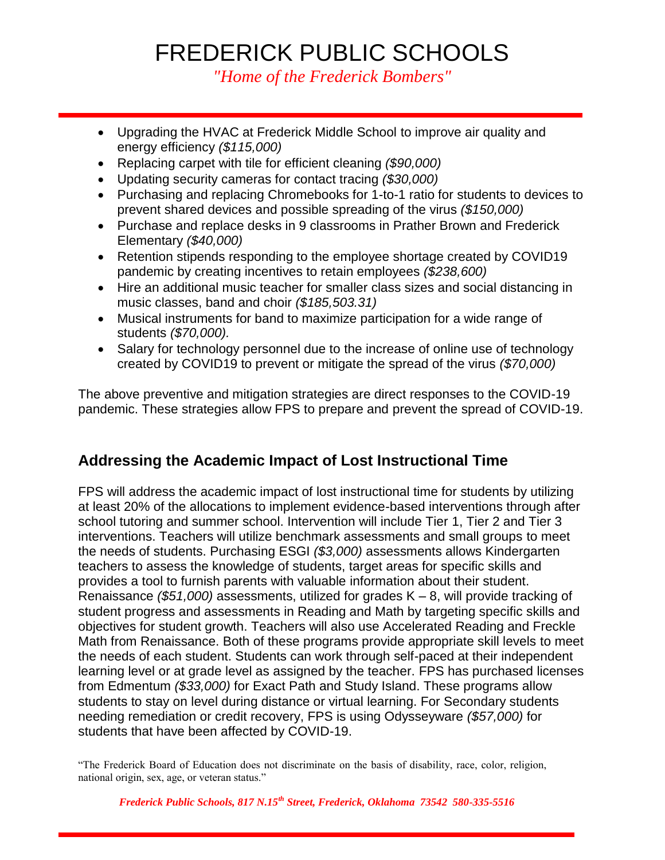*"Home of the Frederick Bombers"*

- Upgrading the HVAC at Frederick Middle School to improve air quality and energy efficiency *(\$115,000)*
- Replacing carpet with tile for efficient cleaning *(\$90,000)*
- Updating security cameras for contact tracing *(\$30,000)*
- Purchasing and replacing Chromebooks for 1-to-1 ratio for students to devices to prevent shared devices and possible spreading of the virus *(\$150,000)*
- Purchase and replace desks in 9 classrooms in Prather Brown and Frederick Elementary *(\$40,000)*
- Retention stipends responding to the employee shortage created by COVID19 pandemic by creating incentives to retain employees *(\$238,600)*
- Hire an additional music teacher for smaller class sizes and social distancing in music classes, band and choir *(\$185,503.31)*
- Musical instruments for band to maximize participation for a wide range of students *(\$70,000).*
- Salary for technology personnel due to the increase of online use of technology created by COVID19 to prevent or mitigate the spread of the virus *(\$70,000)*

The above preventive and mitigation strategies are direct responses to the COVID-19 pandemic. These strategies allow FPS to prepare and prevent the spread of COVID-19.

### **Addressing the Academic Impact of Lost Instructional Time**

FPS will address the academic impact of lost instructional time for students by utilizing at least 20% of the allocations to implement evidence-based interventions through after school tutoring and summer school. Intervention will include Tier 1, Tier 2 and Tier 3 interventions. Teachers will utilize benchmark assessments and small groups to meet the needs of students. Purchasing ESGI *(\$3,000)* assessments allows Kindergarten teachers to assess the knowledge of students, target areas for specific skills and provides a tool to furnish parents with valuable information about their student. Renaissance *(\$51,000)* assessments, utilized for grades K – 8, will provide tracking of student progress and assessments in Reading and Math by targeting specific skills and objectives for student growth. Teachers will also use Accelerated Reading and Freckle Math from Renaissance. Both of these programs provide appropriate skill levels to meet the needs of each student. Students can work through self-paced at their independent learning level or at grade level as assigned by the teacher. FPS has purchased licenses from Edmentum *(\$33,000)* for Exact Path and Study Island. These programs allow students to stay on level during distance or virtual learning. For Secondary students needing remediation or credit recovery, FPS is using Odysseyware *(\$57,000)* for students that have been affected by COVID-19.

<sup>&</sup>quot;The Frederick Board of Education does not discriminate on the basis of disability, race, color, religion, national origin, sex, age, or veteran status."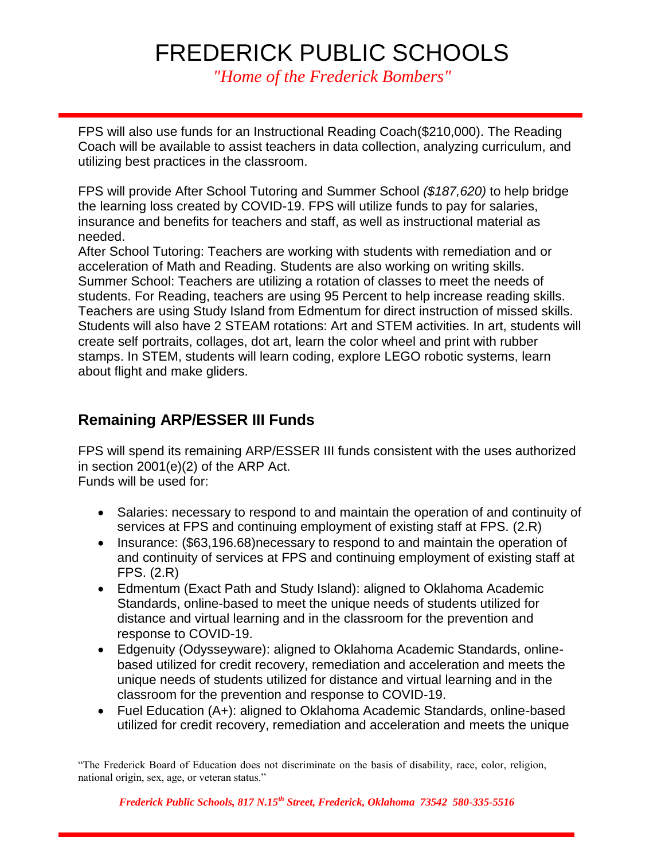*"Home of the Frederick Bombers"*

FPS will also use funds for an Instructional Reading Coach(\$210,000). The Reading Coach will be available to assist teachers in data collection, analyzing curriculum, and utilizing best practices in the classroom.

FPS will provide After School Tutoring and Summer School *(\$187,620)* to help bridge the learning loss created by COVID-19. FPS will utilize funds to pay for salaries, insurance and benefits for teachers and staff, as well as instructional material as needed.

After School Tutoring: Teachers are working with students with remediation and or acceleration of Math and Reading. Students are also working on writing skills. Summer School: Teachers are utilizing a rotation of classes to meet the needs of students. For Reading, teachers are using 95 Percent to help increase reading skills. Teachers are using Study Island from Edmentum for direct instruction of missed skills. Students will also have 2 STEAM rotations: Art and STEM activities. In art, students will create self portraits, collages, dot art, learn the color wheel and print with rubber stamps. In STEM, students will learn coding, explore LEGO robotic systems, learn about flight and make gliders.

### **Remaining ARP/ESSER III Funds**

FPS will spend its remaining ARP/ESSER III funds consistent with the uses authorized in section 2001(e)(2) of the ARP Act. Funds will be used for:

- Salaries: necessary to respond to and maintain the operation of and continuity of services at FPS and continuing employment of existing staff at FPS. (2.R)
- Insurance: (\$63,196.68)necessary to respond to and maintain the operation of and continuity of services at FPS and continuing employment of existing staff at FPS. (2.R)
- Edmentum (Exact Path and Study Island): aligned to Oklahoma Academic Standards, online-based to meet the unique needs of students utilized for distance and virtual learning and in the classroom for the prevention and response to COVID-19.
- Edgenuity (Odysseyware): aligned to Oklahoma Academic Standards, onlinebased utilized for credit recovery, remediation and acceleration and meets the unique needs of students utilized for distance and virtual learning and in the classroom for the prevention and response to COVID-19.
- Fuel Education (A+): aligned to Oklahoma Academic Standards, online-based utilized for credit recovery, remediation and acceleration and meets the unique

"The Frederick Board of Education does not discriminate on the basis of disability, race, color, religion, national origin, sex, age, or veteran status."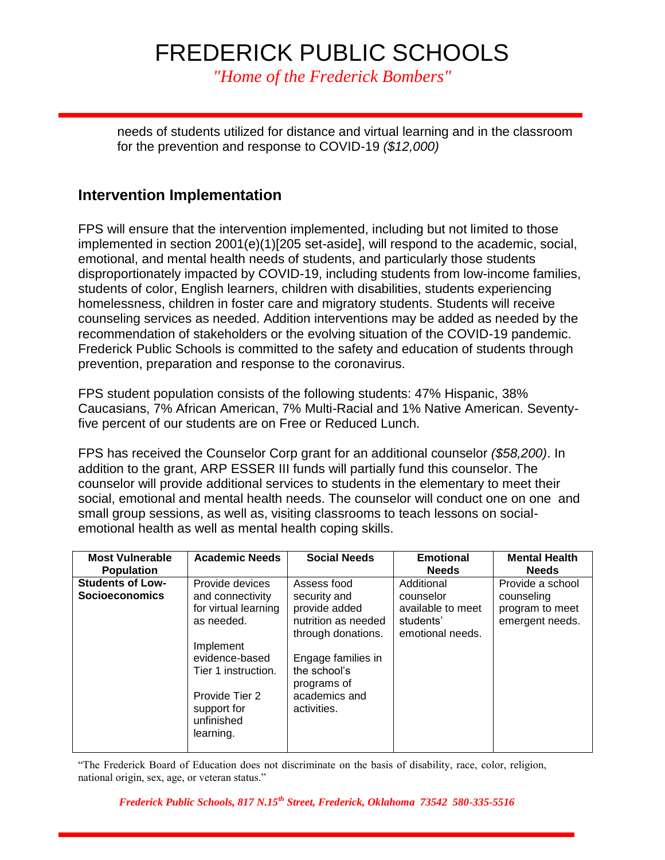*"Home of the Frederick Bombers"*

needs of students utilized for distance and virtual learning and in the classroom for the prevention and response to COVID-19 *(\$12,000)*

#### **Intervention Implementation**

FPS will ensure that the intervention implemented, including but not limited to those implemented in section 2001(e)(1)[205 set-aside], will respond to the academic, social, emotional, and mental health needs of students, and particularly those students disproportionately impacted by COVID-19, including students from low-income families, students of color, English learners, children with disabilities, students experiencing homelessness, children in foster care and migratory students. Students will receive counseling services as needed. Addition interventions may be added as needed by the recommendation of stakeholders or the evolving situation of the COVID-19 pandemic. Frederick Public Schools is committed to the safety and education of students through prevention, preparation and response to the coronavirus.

FPS student population consists of the following students: 47% Hispanic, 38% Caucasians, 7% African American, 7% Multi-Racial and 1% Native American. Seventyfive percent of our students are on Free or Reduced Lunch.

FPS has received the Counselor Corp grant for an additional counselor *(\$58,200)*. In addition to the grant, ARP ESSER III funds will partially fund this counselor. The counselor will provide additional services to students in the elementary to meet their social, emotional and mental health needs. The counselor will conduct one on one and small group sessions, as well as, visiting classrooms to teach lessons on socialemotional health as well as mental health coping skills.

| <b>Most Vulnerable</b><br><b>Population</b>      | <b>Academic Needs</b>                                                                                                                                                                       | <b>Social Needs</b>                                                                                                                                                            | <b>Emotional</b><br><b>Needs</b>                                              | <b>Mental Health</b><br><b>Needs</b>                                 |
|--------------------------------------------------|---------------------------------------------------------------------------------------------------------------------------------------------------------------------------------------------|--------------------------------------------------------------------------------------------------------------------------------------------------------------------------------|-------------------------------------------------------------------------------|----------------------------------------------------------------------|
| <b>Students of Low-</b><br><b>Socioeconomics</b> | Provide devices<br>and connectivity<br>for virtual learning<br>as needed.<br>Implement<br>evidence-based<br>Tier 1 instruction.<br>Provide Tier 2<br>support for<br>unfinished<br>learning. | Assess food<br>security and<br>provide added<br>nutrition as needed<br>through donations.<br>Engage families in<br>the school's<br>programs of<br>academics and<br>activities. | Additional<br>counselor<br>available to meet<br>students'<br>emotional needs. | Provide a school<br>counseling<br>program to meet<br>emergent needs. |

"The Frederick Board of Education does not discriminate on the basis of disability, race, color, religion, national origin, sex, age, or veteran status."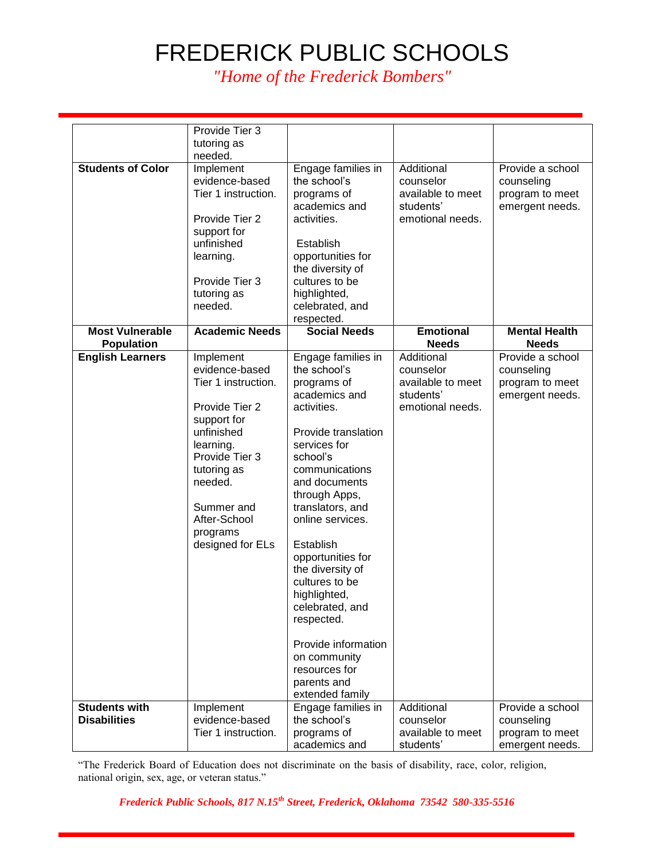*"Home of the Frederick Bombers"*

|                          | Provide Tier 3        |                     |                   |                      |
|--------------------------|-----------------------|---------------------|-------------------|----------------------|
|                          | tutoring as           |                     |                   |                      |
|                          | needed.               |                     |                   |                      |
| <b>Students of Color</b> | Implement             | Engage families in  | Additional        | Provide a school     |
|                          | evidence-based        | the school's        | counselor         | counseling           |
|                          | Tier 1 instruction.   | programs of         | available to meet | program to meet      |
|                          |                       | academics and       | students'         | emergent needs.      |
|                          | Provide Tier 2        | activities.         | emotional needs.  |                      |
|                          | support for           |                     |                   |                      |
|                          | unfinished            | Establish           |                   |                      |
|                          | learning.             | opportunities for   |                   |                      |
|                          |                       | the diversity of    |                   |                      |
|                          | Provide Tier 3        | cultures to be      |                   |                      |
|                          | tutoring as           | highlighted,        |                   |                      |
|                          | needed.               | celebrated, and     |                   |                      |
|                          |                       | respected.          |                   |                      |
| <b>Most Vulnerable</b>   | <b>Academic Needs</b> | <b>Social Needs</b> | <b>Emotional</b>  | <b>Mental Health</b> |
|                          |                       |                     | <b>Needs</b>      | <b>Needs</b>         |
| <b>Population</b>        |                       |                     |                   |                      |
| <b>English Learners</b>  | Implement             | Engage families in  | Additional        | Provide a school     |
|                          | evidence-based        | the school's        | counselor         | counseling           |
|                          | Tier 1 instruction.   | programs of         | available to meet | program to meet      |
|                          |                       | academics and       | students'         | emergent needs.      |
|                          | Provide Tier 2        | activities.         | emotional needs.  |                      |
|                          | support for           |                     |                   |                      |
|                          | unfinished            | Provide translation |                   |                      |
|                          | learning.             | services for        |                   |                      |
|                          | Provide Tier 3        | school's            |                   |                      |
|                          | tutoring as           | communications      |                   |                      |
|                          | needed.               | and documents       |                   |                      |
|                          |                       | through Apps,       |                   |                      |
|                          | Summer and            | translators, and    |                   |                      |
|                          | After-School          | online services.    |                   |                      |
|                          | programs              |                     |                   |                      |
|                          | designed for ELs      | Establish           |                   |                      |
|                          |                       | opportunities for   |                   |                      |
|                          |                       | the diversity of    |                   |                      |
|                          |                       | cultures to be      |                   |                      |
|                          |                       | highlighted,        |                   |                      |
|                          |                       | celebrated, and     |                   |                      |
|                          |                       |                     |                   |                      |
|                          |                       | respected.          |                   |                      |
|                          |                       | Provide information |                   |                      |
|                          |                       |                     |                   |                      |
|                          |                       | on community        |                   |                      |
|                          |                       | resources for       |                   |                      |
|                          |                       | parents and         |                   |                      |
|                          |                       | extended family     |                   |                      |
| <b>Students with</b>     | Implement             | Engage families in  | Additional        | Provide a school     |
| <b>Disabilities</b>      | evidence-based        | the school's        | counselor         | counseling           |
|                          | Tier 1 instruction.   | programs of         | available to meet | program to meet      |
|                          |                       | academics and       | students'         | emergent needs.      |

"The Frederick Board of Education does not discriminate on the basis of disability, race, color, religion, national origin, sex, age, or veteran status."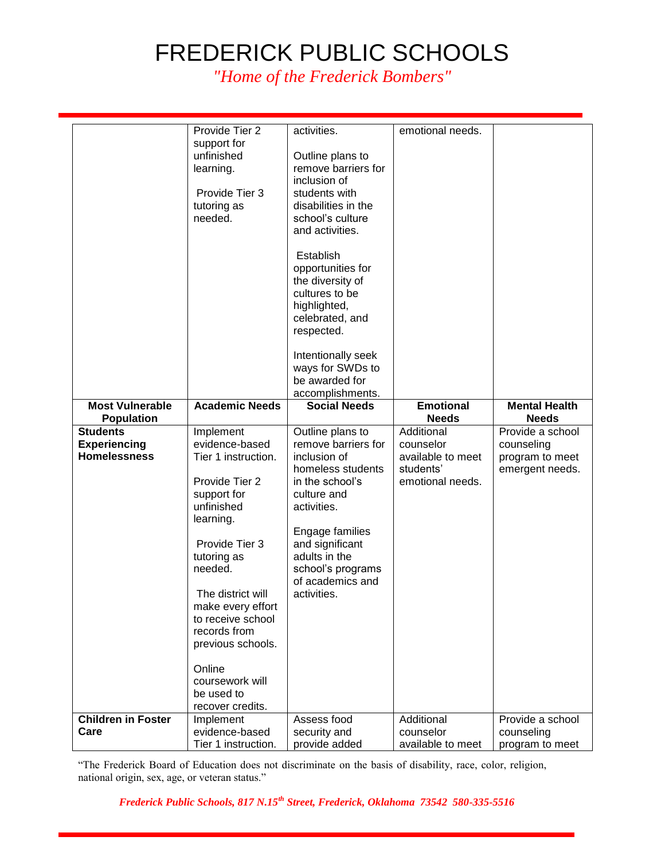*"Home of the Frederick Bombers"*

|                                                               | Provide Tier 2<br>support for<br>unfinished<br>learning.<br>Provide Tier 3<br>tutoring as<br>needed.                                                                                                                                                                                                                          | activities.<br>Outline plans to<br>remove barriers for<br>inclusion of<br>students with<br>disabilities in the<br>school's culture<br>and activities.<br>Establish<br>opportunities for<br>the diversity of<br>cultures to be<br>highlighted,<br>celebrated, and<br>respected.<br>Intentionally seek<br>ways for SWDs to<br>be awarded for<br>accomplishments. | emotional needs.                                                              |                                                                      |
|---------------------------------------------------------------|-------------------------------------------------------------------------------------------------------------------------------------------------------------------------------------------------------------------------------------------------------------------------------------------------------------------------------|----------------------------------------------------------------------------------------------------------------------------------------------------------------------------------------------------------------------------------------------------------------------------------------------------------------------------------------------------------------|-------------------------------------------------------------------------------|----------------------------------------------------------------------|
| <b>Most Vulnerable</b>                                        | <b>Academic Needs</b>                                                                                                                                                                                                                                                                                                         | <b>Social Needs</b>                                                                                                                                                                                                                                                                                                                                            | <b>Emotional</b>                                                              | <b>Mental Health</b>                                                 |
| <b>Population</b>                                             |                                                                                                                                                                                                                                                                                                                               |                                                                                                                                                                                                                                                                                                                                                                | <b>Needs</b>                                                                  | <b>Needs</b>                                                         |
| <b>Students</b><br><b>Experiencing</b><br><b>Homelessness</b> | Implement<br>evidence-based<br>Tier 1 instruction.<br>Provide Tier 2<br>support for<br>unfinished<br>learning.<br>Provide Tier 3<br>tutoring as<br>needed.<br>The district will<br>make every effort<br>to receive school<br>records from<br>previous schools.<br>Online<br>coursework will<br>be used to<br>recover credits. | Outline plans to<br>remove barriers for<br>inclusion of<br>homeless students<br>in the school's<br>culture and<br>activities.<br>Engage families<br>and significant<br>adults in the<br>school's programs<br>of academics and<br>activities.                                                                                                                   | Additional<br>counselor<br>available to meet<br>students'<br>emotional needs. | Provide a school<br>counseling<br>program to meet<br>emergent needs. |
| <b>Children in Foster</b><br>Care                             | Implement<br>evidence-based<br>Tier 1 instruction.                                                                                                                                                                                                                                                                            | Assess food<br>security and<br>provide added                                                                                                                                                                                                                                                                                                                   | Additional<br>counselor<br>available to meet                                  | Provide a school<br>counseling<br>program to meet                    |

"The Frederick Board of Education does not discriminate on the basis of disability, race, color, religion, national origin, sex, age, or veteran status."